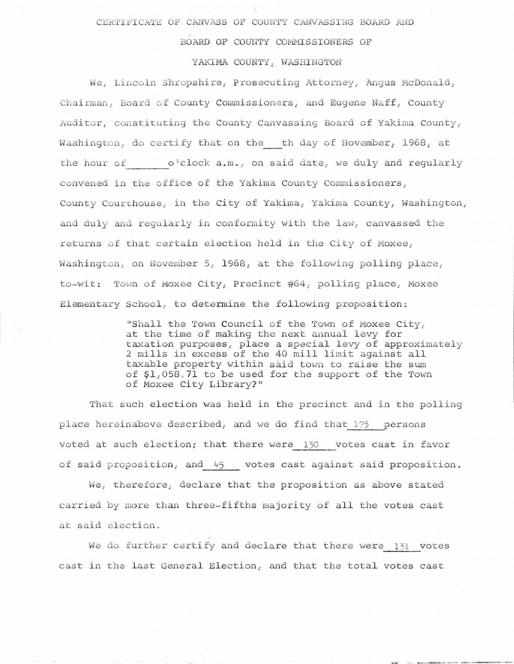## CERTIFICATE OF CANVASS OF COUNTY CANVASSING BOARD AND

## BOARD OF COUNTY COMMISSIONERS OF

## YAKIMA COUNTY, WASHINGTON

We, Lincoln Shropshire, Prosecuting Attorney, Angus McDonald, Chairman, Board of County Commissioners, and Eugene Naff, County Auditor, constituting the County Canvassing Board of Yakima County, Washington, do certify that on the th day of November, 1968, at the hour of  $o^t$ clock  $a.m._t$  on said date, we duly and regularly convened in the office of the Yakima County Commissioners, County Courthouse, in the City of Yakima, Yakima County, Washington, and duly and regularly in conformity with the law, canvassed the returns of that certain election held in the City of Moxee, Washington, on November 5, 1968, at the following polling place, to-wit: Town of Moxee City, Precinct #64, polling place, Moxee Elementary School, to determine the following proposition:

> "Shall the Town Council of the Town of Moxee City, at the time of making the next annual levy for taxation purposes, place a special levy of approximately 2 mills in excess of the 40 mill limit against all taxable property within said town to raise the sum of \$1,058.71 to be used for the support of the Town of Moxee City Library?"

That such election was held in the precinct and in the polling place hereinabove described, and we do find that 175 persons voted at such election; that there were 130 votes cast in favor of said proposition, and 45 votes cast against said proposition.

We, therefore, declare that the proposition as above stated carried by more than three-fifths majority of all the votes cast at said election.

We do further certify and declare that there were 131 votes cast in the last General Election, and that the total votes cast